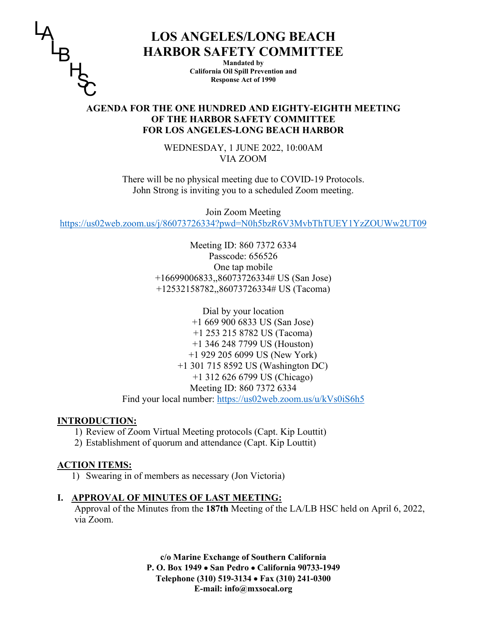

# **LOS ANGELES/LONG BEACH HARBOR SAFETY COMMITTEE**

**Mandated by California Oil Spill Prevention and Response Act of 1990**

## **AGENDA FOR THE ONE HUNDRED AND EIGHTY-EIGHTH MEETING OF THE HARBOR SAFETY COMMITTEE FOR LOS ANGELES-LONG BEACH HARBOR**

WEDNESDAY, 1 JUNE 2022, 10:00AM VIA ZOOM

There will be no physical meeting due to COVID-19 Protocols. John Strong is inviting you to a scheduled Zoom meeting.

Join Zoom Meeting <https://us02web.zoom.us/j/86073726334?pwd=N0h5bzR6V3MvbThTUEY1YzZOUWw2UT09>

> Meeting ID: 860 7372 6334 Passcode: 656526 One tap mobile +16699006833,,86073726334# US (San Jose) +12532158782,,86073726334# US (Tacoma)

Dial by your location +1 669 900 6833 US (San Jose) +1 253 215 8782 US (Tacoma) +1 346 248 7799 US (Houston) +1 929 205 6099 US (New York) +1 301 715 8592 US (Washington DC) +1 312 626 6799 US (Chicago) Meeting ID: 860 7372 6334 Find your local number:<https://us02web.zoom.us/u/kVs0iS6h5>

## **INTRODUCTION:**

- 1) Review of Zoom Virtual Meeting protocols (Capt. Kip Louttit)
- 2) Establishment of quorum and attendance (Capt. Kip Louttit)

## **ACTION ITEMS:**

1) Swearing in of members as necessary (Jon Victoria)

## **I. APPROVAL OF MINUTES OF LAST MEETING:**

Approval of the Minutes from the **187th** Meeting of the LA/LB HSC held on April 6, 2022, via Zoom.

> **c/o Marine Exchange of Southern California P. O. Box 1949** • **San Pedro** • **California 90733-1949 Telephone (310) 519-3134** • **Fax (310) 241-0300 E-mail: info@mxsocal.org**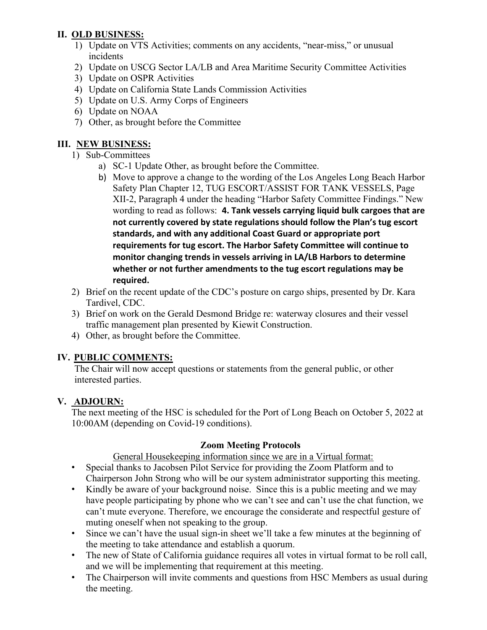## **II. OLD BUSINESS:**

- 1) Update on VTS Activities; comments on any accidents, "near-miss," or unusual incidents
- 2) Update on USCG Sector LA/LB and Area Maritime Security Committee Activities
- 3) Update on OSPR Activities
- 4) Update on California State Lands Commission Activities
- 5) Update on U.S. Army Corps of Engineers
- 6) Update on NOAA
- 7) Other, as brought before the Committee

## **III. NEW BUSINESS:**

- 1) Sub-Committees
	- a) SC-1 Update Other, as brought before the Committee.
	- b) Move to approve a change to the wording of the Los Angeles Long Beach Harbor Safety Plan Chapter 12, TUG ESCORT/ASSIST FOR TANK VESSELS, Page XII-2, Paragraph 4 under the heading "Harbor Safety Committee Findings." New wording to read as follows: **4. Tank vessels carrying liquid bulk cargoes that are not currently covered by state regulations should follow the Plan's tug escort standards, and with any additional Coast Guard or appropriate port requirements for tug escort. The Harbor Safety Committee will continue to monitor changing trends in vessels arriving in LA/LB Harbors to determine whether or not further amendments to the tug escort regulations may be required.**
- 2) Brief on the recent update of the CDC's posture on cargo ships, presented by Dr. Kara Tardivel, CDC.
- 3) Brief on work on the Gerald Desmond Bridge re: waterway closures and their vessel traffic management plan presented by Kiewit Construction.
- 4) Other, as brought before the Committee.

# **IV. PUBLIC COMMENTS:**

The Chair will now accept questions or statements from the general public, or other interested parties.

# **V. ADJOURN:**

The next meeting of the HSC is scheduled for the Port of Long Beach on October 5, 2022 at 10:00AM (depending on Covid-19 conditions).

# **Zoom Meeting Protocols**

General Housekeeping information since we are in a Virtual format:

- Special thanks to Jacobsen Pilot Service for providing the Zoom Platform and to Chairperson John Strong who will be our system administrator supporting this meeting.
- Kindly be aware of your background noise. Since this is a public meeting and we may have people participating by phone who we can't see and can't use the chat function, we can't mute everyone. Therefore, we encourage the considerate and respectful gesture of muting oneself when not speaking to the group.
- Since we can't have the usual sign-in sheet we'll take a few minutes at the beginning of the meeting to take attendance and establish a quorum.
- The new of State of California guidance requires all votes in virtual format to be roll call, and we will be implementing that requirement at this meeting.
- The Chairperson will invite comments and questions from HSC Members as usual during the meeting.